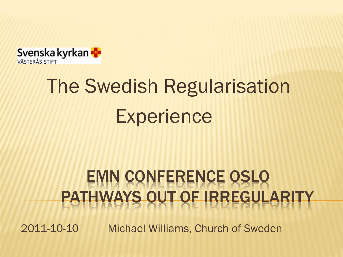

# The Swedish Regularisation **Experience**

#### EMN CONFERENCE OSLO PATHWAYS OUT OF IRREGULARITY

2011-10-10 Michael Williams, Church of Sweden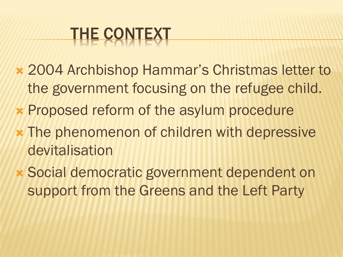# THE CONTEXT

- 2004 Archbishop Hammar's Christmas letter to the government focusing on the refugee child.
- Proposed reform of the asylum procedure
- The phenomenon of children with depressive devitalisation
- Social democratic government dependent on support from the Greens and the Left Party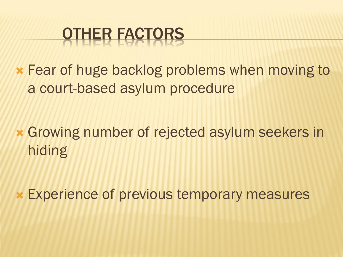## OTHER FACTORS

 Fear of huge backlog problems when moving to a court-based asylum procedure

 Growing number of rejected asylum seekers in hiding

Experience of previous temporary measures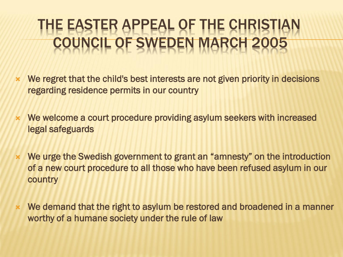#### THE EASTER APPEAL OF THE CHRIST CIL OF SWEDEN MAR

- We regret that the child's best interests are not given priority in decisions regarding residence permits in our country
- We welcome a court procedure providing asylum seekers with increased legal safeguards
- We urge the Swedish government to grant an "amnesty" on the introduction of a new court procedure to all those who have been refused asylum in our country
- We demand that the right to asylum be restored and broadened in a manner worthy of a humane society under the rule of law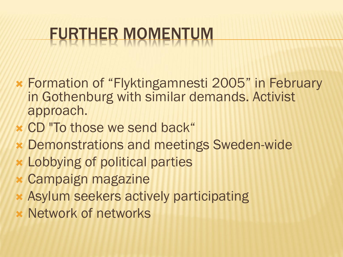# FURTHER MOMENTUM

- Formation of "Flyktingamnesti 2005" in February in Gothenburg with similar demands. Activist approach.
- CD "To those we send back"
- Demonstrations and meetings Sweden-wide
- Lobbying of political parties
- Campaign magazine
- Asylum seekers actively participating
- Network of networks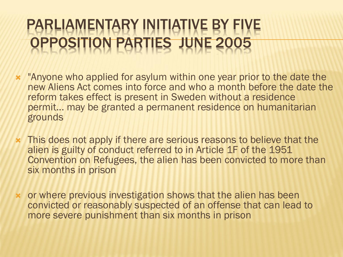#### RLIAMENTARY INITIATIVE B' SITION PARTIES JUNE 20

- "Anyone who applied for asylum within one year prior to the date the new Aliens Act comes into force and who a month before the date the reform takes effect is present in Sweden without a residence permit... may be granted a permanent residence on humanitarian grounds
- This does not apply if there are serious reasons to believe that the alien is guilty of conduct referred to in Article 1F of the 1951 Convention on Refugees, the alien has been convicted to more than six months in prison
- or where previous investigation shows that the alien has been convicted or reasonably suspected of an offense that can lead to more severe punishment than six months in prison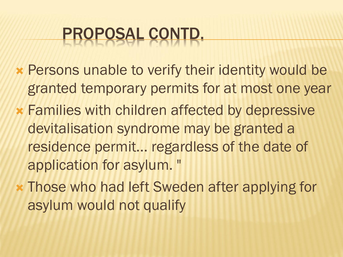# PROPOSAL CONTD.

- Persons unable to verify their identity would be granted temporary permits for at most one year
- Families with children affected by depressive devitalisation syndrome may be granted a residence permit... regardless of the date of application for asylum. "
- Those who had left Sweden after applying for asylum would not qualify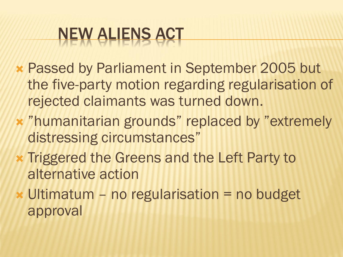# NEW ALIENS ACT

- Passed by Parliament in September 2005 but the five-party motion regarding regularisation of rejected claimants was turned down.
- "humanitarian grounds" replaced by "extremely distressing circumstances"
- **\* Triggered the Greens and the Left Party to** alternative action
- Ultimatum no regularisation = no budget approval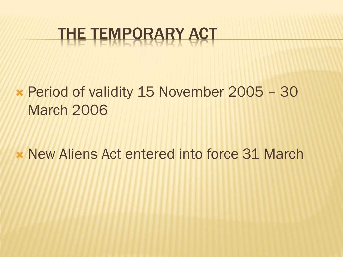## THE TEMPORARY ACT

#### Period of validity 15 November 2005 – 30 March 2006

**\* New Aliens Act entered into force 31 March**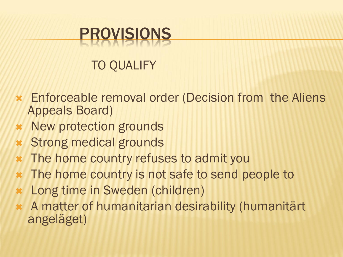### PROVISIONS

#### TO QUALIFY

- Enforceable removal order (Decision from the Aliens Appeals Board)
- **\*** New protection grounds
- Strong medical grounds
- **\*** The home country refuses to admit you
- **\*** The home country is not safe to send people to
- Long time in Sweden (children)
- A matter of humanitarian desirability (humanitärt angeläget)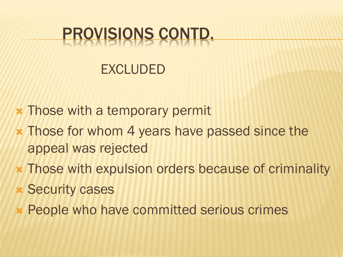### PROVISIONS CONTD.

#### EXCLUDED

- **\* Those with a temporary permit**
- Those for whom 4 years have passed since the appeal was rejected
- Those with expulsion orders because of criminality
- Security cases
- People who have committed serious crimes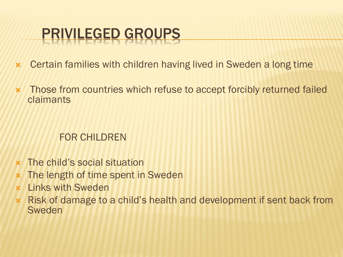#### PRIVILEGED GROUPS

- Certain families with children having lived in Sweden a long time
- \* Those from countries which refuse to accept forcibly returned failed claimants

#### FOR CHILDREN

- The child's social situation
- **\*** The length of time spent in Sweden
- $\times$  Links with Sweden
- Risk of damage to a child's health and development if sent back from Sweden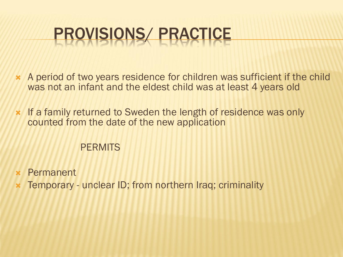# PROVISIONS/ PRACTICE

- A period of two years residence for children was sufficient if the child was not an infant and the eldest child was at least 4 years old
- **\*** If a family returned to Sweden the length of residence was only counted from the date of the new application

#### **PERMITS**

- Permanent
- Temporary unclear ID; from northern Iraq; criminality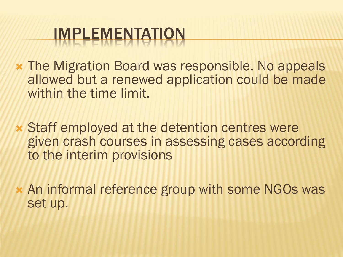## IMPLEMENTATION

- The Migration Board was responsible. No appeals allowed but a renewed application could be made within the time limit.
- Staff employed at the detention centres were given crash courses in assessing cases according to the interim provisions
- An informal reference group with some NGOs was set up.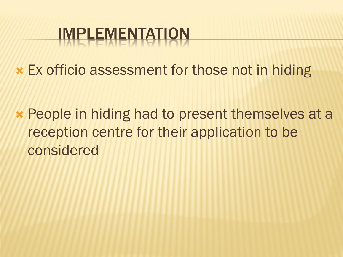# IMPLEMENTATION

Ex officio assessment for those not in hiding

 People in hiding had to present themselves at a reception centre for their application to be considered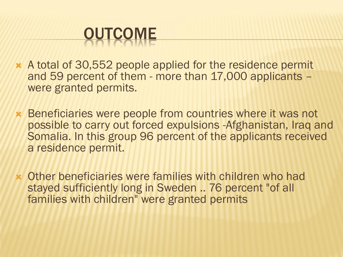

- A total of 30,552 people applied for the residence permit and 59 percent of them - more than 17,000 applicants – were granted permits.
- Beneficiaries were people from countries where it was not possible to carry out forced expulsions -Afghanistan, Iraq and Somalia. In this group 96 percent of the applicants received a residence permit.
- Other beneficiaries were families with children who had stayed sufficiently long in Sweden .. 76 percent "of all families with children" were granted permits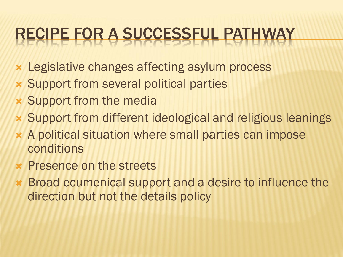# RECIPE FOR A SUCCESSFUL PATHWAY

- Legislative changes affecting asylum process
- Support from several political parties
- Support from the media
- Support from different ideological and religious leanings
- A political situation where small parties can impose conditions
- **x** Presence on the streets
- Broad ecumenical support and a desire to influence the direction but not the details policy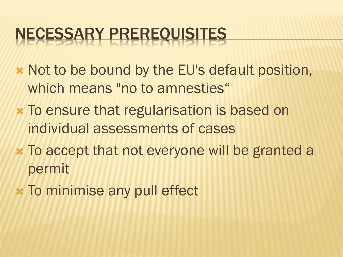## NECESSARY PREREQUISITES

- Not to be bound by the EU's default position, which means "no to amnesties"
- To ensure that regularisation is based on individual assessments of cases
- To accept that not everyone will be granted a permit
- **x** To minimise any pull effect